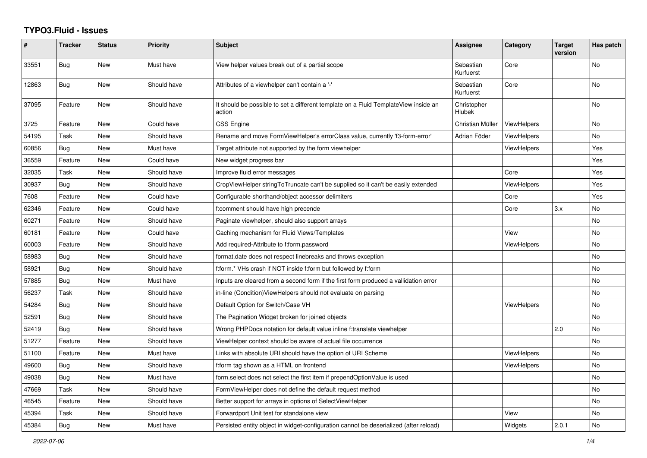## **TYPO3.Fluid - Issues**

| #     | <b>Tracker</b> | <b>Status</b> | <b>Priority</b> | Subject                                                                                       | <b>Assignee</b>        | Category           | <b>Target</b><br>version | Has patch |
|-------|----------------|---------------|-----------------|-----------------------------------------------------------------------------------------------|------------------------|--------------------|--------------------------|-----------|
| 33551 | Bug            | <b>New</b>    | Must have       | View helper values break out of a partial scope                                               | Sebastian<br>Kurfuerst | Core               |                          | No        |
| 12863 | Bug            | New           | Should have     | Attributes of a viewhelper can't contain a '-'                                                | Sebastian<br>Kurfuerst | Core               |                          | No        |
| 37095 | Feature        | New           | Should have     | It should be possible to set a different template on a Fluid TemplateView inside an<br>action | Christopher<br>Hlubek  |                    |                          | No        |
| 3725  | Feature        | <b>New</b>    | Could have      | CSS Engine                                                                                    | Christian Müller       | <b>ViewHelpers</b> |                          | No.       |
| 54195 | Task           | <b>New</b>    | Should have     | Rename and move FormViewHelper's errorClass value, currently 'f3-form-error'                  | Adrian Föder           | <b>ViewHelpers</b> |                          | No        |
| 60856 | Bug            | New           | Must have       | Target attribute not supported by the form viewhelper                                         |                        | <b>ViewHelpers</b> |                          | Yes       |
| 36559 | Feature        | New           | Could have      | New widget progress bar                                                                       |                        |                    |                          | Yes       |
| 32035 | Task           | <b>New</b>    | Should have     | Improve fluid error messages                                                                  |                        | Core               |                          | Yes       |
| 30937 | Bug            | New           | Should have     | CropViewHelper stringToTruncate can't be supplied so it can't be easily extended              |                        | <b>ViewHelpers</b> |                          | Yes       |
| 7608  | Feature        | <b>New</b>    | Could have      | Configurable shorthand/object accessor delimiters                                             |                        | Core               |                          | Yes       |
| 62346 | Feature        | New           | Could have      | f:comment should have high precende                                                           |                        | Core               | 3.x                      | No        |
| 60271 | Feature        | <b>New</b>    | Should have     | Paginate viewhelper, should also support arrays                                               |                        |                    |                          | No        |
| 60181 | Feature        | <b>New</b>    | Could have      | Caching mechanism for Fluid Views/Templates                                                   |                        | View               |                          | No.       |
| 60003 | Feature        | New           | Should have     | Add required-Attribute to f:form.password                                                     |                        | ViewHelpers        |                          | No        |
| 58983 | Bug            | New           | Should have     | format.date does not respect linebreaks and throws exception                                  |                        |                    |                          | No        |
| 58921 | Bug            | <b>New</b>    | Should have     | f:form.* VHs crash if NOT inside f:form but followed by f:form                                |                        |                    |                          | No        |
| 57885 | Bug            | New           | Must have       | Inputs are cleared from a second form if the first form produced a vallidation error          |                        |                    |                          | No        |
| 56237 | Task           | New           | Should have     | in-line (Condition) View Helpers should not evaluate on parsing                               |                        |                    |                          | No        |
| 54284 | Bug            | New           | Should have     | Default Option for Switch/Case VH                                                             |                        | <b>ViewHelpers</b> |                          | No        |
| 52591 | Bug            | New           | Should have     | The Pagination Widget broken for joined objects                                               |                        |                    |                          | No        |
| 52419 | Bug            | <b>New</b>    | Should have     | Wrong PHPDocs notation for default value inline f:translate viewhelper                        |                        |                    | 2.0                      | No        |
| 51277 | Feature        | <b>New</b>    | Should have     | ViewHelper context should be aware of actual file occurrence                                  |                        |                    |                          | No        |
| 51100 | Feature        | New           | Must have       | Links with absolute URI should have the option of URI Scheme                                  |                        | <b>ViewHelpers</b> |                          | No        |
| 49600 | Bug            | <b>New</b>    | Should have     | f:form tag shown as a HTML on frontend                                                        |                        | <b>ViewHelpers</b> |                          | No        |
| 49038 | <b>Bug</b>     | New           | Must have       | form select does not select the first item if prependOptionValue is used                      |                        |                    |                          | No        |
| 47669 | Task           | <b>New</b>    | Should have     | FormViewHelper does not define the default request method                                     |                        |                    |                          | No        |
| 46545 | Feature        | <b>New</b>    | Should have     | Better support for arrays in options of SelectViewHelper                                      |                        |                    |                          | No        |
| 45394 | Task           | New           | Should have     | Forwardport Unit test for standalone view                                                     |                        | View               |                          | No        |
| 45384 | <b>Bug</b>     | <b>New</b>    | Must have       | Persisted entity object in widget-configuration cannot be deserialized (after reload)         |                        | Widgets            | 2.0.1                    | No.       |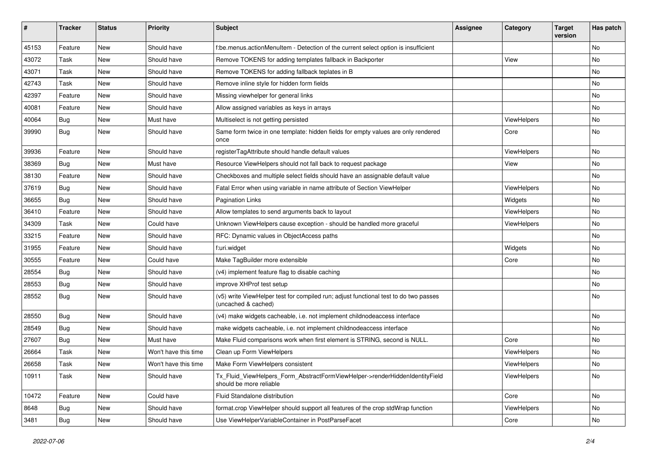| ∦     | <b>Tracker</b> | <b>Status</b> | <b>Priority</b>      | Subject                                                                                                     | <b>Assignee</b> | Category           | <b>Target</b><br>version | Has patch |
|-------|----------------|---------------|----------------------|-------------------------------------------------------------------------------------------------------------|-----------------|--------------------|--------------------------|-----------|
| 45153 | Feature        | New           | Should have          | f:be.menus.actionMenuItem - Detection of the current select option is insufficient                          |                 |                    |                          | No        |
| 43072 | Task           | New           | Should have          | Remove TOKENS for adding templates fallback in Backporter                                                   |                 | View               |                          | No        |
| 43071 | Task           | New           | Should have          | Remove TOKENS for adding fallback teplates in B                                                             |                 |                    |                          | No        |
| 42743 | Task           | New           | Should have          | Remove inline style for hidden form fields                                                                  |                 |                    |                          | No        |
| 42397 | Feature        | New           | Should have          | Missing viewhelper for general links                                                                        |                 |                    |                          | No        |
| 40081 | Feature        | New           | Should have          | Allow assigned variables as keys in arrays                                                                  |                 |                    |                          | No        |
| 40064 | <b>Bug</b>     | New           | Must have            | Multiselect is not getting persisted                                                                        |                 | ViewHelpers        |                          | No        |
| 39990 | <b>Bug</b>     | New           | Should have          | Same form twice in one template: hidden fields for empty values are only rendered<br>once                   |                 | Core               |                          | No        |
| 39936 | Feature        | <b>New</b>    | Should have          | registerTagAttribute should handle default values                                                           |                 | ViewHelpers        |                          | No        |
| 38369 | Bug            | New           | Must have            | Resource ViewHelpers should not fall back to request package                                                |                 | View               |                          | No        |
| 38130 | Feature        | New           | Should have          | Checkboxes and multiple select fields should have an assignable default value                               |                 |                    |                          | No        |
| 37619 | <b>Bug</b>     | New           | Should have          | Fatal Error when using variable in name attribute of Section ViewHelper                                     |                 | ViewHelpers        |                          | No        |
| 36655 | Bug            | New           | Should have          | <b>Pagination Links</b>                                                                                     |                 | Widgets            |                          | No        |
| 36410 | Feature        | New           | Should have          | Allow templates to send arguments back to layout                                                            |                 | ViewHelpers        |                          | No        |
| 34309 | Task           | New           | Could have           | Unknown ViewHelpers cause exception - should be handled more graceful                                       |                 | ViewHelpers        |                          | No        |
| 33215 | Feature        | New           | Should have          | RFC: Dynamic values in ObjectAccess paths                                                                   |                 |                    |                          | No        |
| 31955 | Feature        | New           | Should have          | f:uri.widget                                                                                                |                 | Widgets            |                          | No        |
| 30555 | Feature        | <b>New</b>    | Could have           | Make TagBuilder more extensible                                                                             |                 | Core               |                          | No        |
| 28554 | Bug            | New           | Should have          | (v4) implement feature flag to disable caching                                                              |                 |                    |                          | No        |
| 28553 | <b>Bug</b>     | New           | Should have          | improve XHProf test setup                                                                                   |                 |                    |                          | No        |
| 28552 | Bug            | New           | Should have          | (v5) write ViewHelper test for compiled run; adjust functional test to do two passes<br>(uncached & cached) |                 |                    |                          | No        |
| 28550 | Bug            | New           | Should have          | (v4) make widgets cacheable, i.e. not implement childnodeaccess interface                                   |                 |                    |                          | No        |
| 28549 | <b>Bug</b>     | New           | Should have          | make widgets cacheable, i.e. not implement childnodeaccess interface                                        |                 |                    |                          | No        |
| 27607 | <b>Bug</b>     | New           | Must have            | Make Fluid comparisons work when first element is STRING, second is NULL.                                   |                 | Core               |                          | No        |
| 26664 | Task           | <b>New</b>    | Won't have this time | Clean up Form ViewHelpers                                                                                   |                 | ViewHelpers        |                          | No        |
| 26658 | Task           | New           | Won't have this time | Make Form ViewHelpers consistent                                                                            |                 | <b>ViewHelpers</b> |                          | No        |
| 10911 | Task           | New           | Should have          | Tx_Fluid_ViewHelpers_Form_AbstractFormViewHelper->renderHiddenIdentityField<br>should be more reliable      |                 | ViewHelpers        |                          | No        |
| 10472 | Feature        | New           | Could have           | Fluid Standalone distribution                                                                               |                 | Core               |                          | No        |
| 8648  | Bug            | New           | Should have          | format.crop ViewHelper should support all features of the crop stdWrap function                             |                 | ViewHelpers        |                          | No        |
| 3481  | <b>Bug</b>     | New           | Should have          | Use ViewHelperVariableContainer in PostParseFacet                                                           |                 | Core               |                          | No        |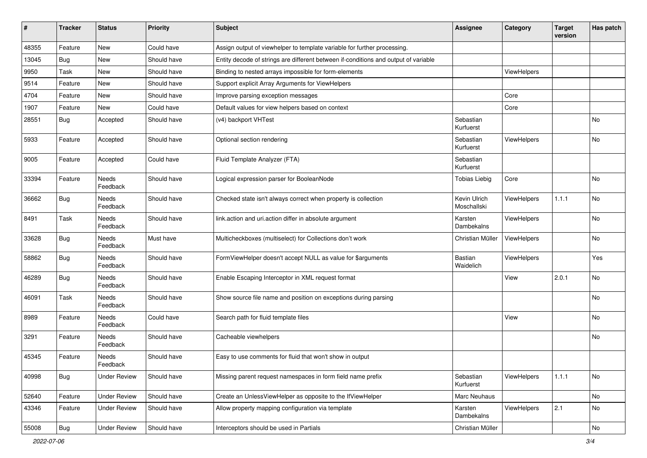| #     | <b>Tracker</b> | <b>Status</b>            | <b>Priority</b> | <b>Subject</b>                                                                      | Assignee                    | Category           | <b>Target</b><br>version | <b>Has patch</b> |
|-------|----------------|--------------------------|-----------------|-------------------------------------------------------------------------------------|-----------------------------|--------------------|--------------------------|------------------|
| 48355 | Feature        | New                      | Could have      | Assign output of viewhelper to template variable for further processing.            |                             |                    |                          |                  |
| 13045 | Bug            | New                      | Should have     | Entity decode of strings are different between if-conditions and output of variable |                             |                    |                          |                  |
| 9950  | Task           | New                      | Should have     | Binding to nested arrays impossible for form-elements                               |                             | <b>ViewHelpers</b> |                          |                  |
| 9514  | Feature        | New                      | Should have     | Support explicit Array Arguments for ViewHelpers                                    |                             |                    |                          |                  |
| 4704  | Feature        | New                      | Should have     | Improve parsing exception messages                                                  |                             | Core               |                          |                  |
| 1907  | Feature        | New                      | Could have      | Default values for view helpers based on context                                    |                             | Core               |                          |                  |
| 28551 | Bug            | Accepted                 | Should have     | (v4) backport VHTest                                                                | Sebastian<br>Kurfuerst      |                    |                          | No               |
| 5933  | Feature        | Accepted                 | Should have     | Optional section rendering                                                          | Sebastian<br>Kurfuerst      | ViewHelpers        |                          | No               |
| 9005  | Feature        | Accepted                 | Could have      | Fluid Template Analyzer (FTA)                                                       | Sebastian<br>Kurfuerst      |                    |                          |                  |
| 33394 | Feature        | Needs<br>Feedback        | Should have     | Logical expression parser for BooleanNode                                           | <b>Tobias Liebig</b>        | Core               |                          | <b>No</b>        |
| 36662 | Bug            | Needs<br>Feedback        | Should have     | Checked state isn't always correct when property is collection                      | Kevin Ulrich<br>Moschallski | <b>ViewHelpers</b> | 1.1.1                    | <b>No</b>        |
| 8491  | Task           | Needs<br>Feedback        | Should have     | link.action and uri.action differ in absolute argument                              | Karsten<br>Dambekalns       | ViewHelpers        |                          | <b>No</b>        |
| 33628 | Bug            | Needs<br>Feedback        | Must have       | Multicheckboxes (multiselect) for Collections don't work                            | Christian Müller            | ViewHelpers        |                          | <b>No</b>        |
| 58862 | Bug            | Needs<br>Feedback        | Should have     | FormViewHelper doesn't accept NULL as value for \$arguments                         | Bastian<br>Waidelich        | ViewHelpers        |                          | Yes              |
| 46289 | Bug            | Needs<br>Feedback        | Should have     | Enable Escaping Interceptor in XML request format                                   |                             | View               | 2.0.1                    | No               |
| 46091 | Task           | Needs<br>Feedback        | Should have     | Show source file name and position on exceptions during parsing                     |                             |                    |                          | No               |
| 8989  | Feature        | Needs<br>Feedback        | Could have      | Search path for fluid template files                                                |                             | View               |                          | No               |
| 3291  | Feature        | Needs<br>Feedback        | Should have     | Cacheable viewhelpers                                                               |                             |                    |                          | <b>No</b>        |
| 45345 | Feature        | <b>Needs</b><br>Feedback | Should have     | Easy to use comments for fluid that won't show in output                            |                             |                    |                          |                  |
| 40998 | Bug            | <b>Under Review</b>      | Should have     | Missing parent request namespaces in form field name prefix                         | Sebastian<br>Kurfuerst      | ViewHelpers        | 1.1.1                    | No               |
| 52640 | Feature        | <b>Under Review</b>      | Should have     | Create an UnlessViewHelper as opposite to the IfViewHelper                          | Marc Neuhaus                |                    |                          | No               |
| 43346 | Feature        | <b>Under Review</b>      | Should have     | Allow property mapping configuration via template                                   | Karsten<br>Dambekalns       | <b>ViewHelpers</b> | 2.1                      | No               |
| 55008 | <b>Bug</b>     | <b>Under Review</b>      | Should have     | Interceptors should be used in Partials                                             | Christian Müller            |                    |                          | No               |